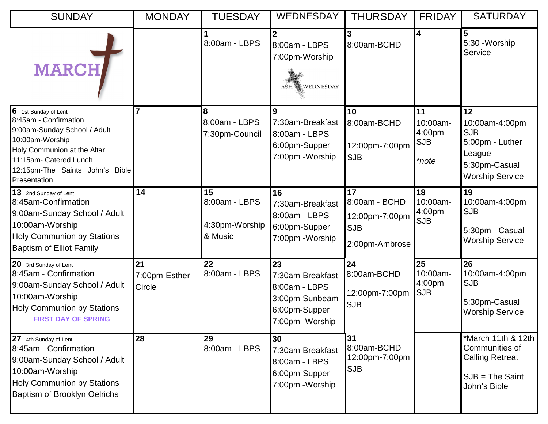| <b>SUNDAY</b>                                                                                                                                                                                                   | <b>MONDAY</b>                 | <b>TUESDAY</b>                                   | <b>WEDNESDAY</b>                                                                               | <b>THURSDAY</b>                                                       | <b>FRIDAY</b>                                   | <b>SATURDAY</b>                                                                                            |
|-----------------------------------------------------------------------------------------------------------------------------------------------------------------------------------------------------------------|-------------------------------|--------------------------------------------------|------------------------------------------------------------------------------------------------|-----------------------------------------------------------------------|-------------------------------------------------|------------------------------------------------------------------------------------------------------------|
| <b>MARCH</b>                                                                                                                                                                                                    |                               | 8:00am - LBPS                                    | 8:00am - LBPS<br>7:00pm-Worship<br>ASH WEDNESDAY                                               | 3<br>8:00am-BCHD                                                      | 4                                               | $5\phantom{1}$<br>5:30 - Worship<br>Service                                                                |
| 6<br>1st Sunday of Lent<br>8:45am - Confirmation<br>9:00am-Sunday School / Adult<br>10:00am-Worship<br>Holy Communion at the Altar<br>11:15am- Catered Lunch<br>12:15pm-The Saints John's Bible<br>Presentation |                               | 8<br>8:00am - LBPS<br>7:30pm-Council             | 9<br>7:30am-Breakfast<br>8:00am - LBPS<br>6:00pm-Supper<br>7:00pm - Worship                    | 10<br>8:00am-BCHD<br>12:00pm-7:00pm<br><b>SJB</b>                     | 11<br>10:00am-<br>4:00pm<br><b>SJB</b><br>*note | 12<br>10:00am-4:00pm<br><b>SJB</b><br>5:00pm - Luther<br>League<br>5:30pm-Casual<br><b>Worship Service</b> |
| 13 2nd Sunday of Lent<br>8:45am-Confirmation<br>9:00am-Sunday School / Adult<br>10:00am-Worship<br><b>Holy Communion by Stations</b><br><b>Baptism of Elliot Family</b>                                         | 14                            | 15<br>8:00am - LBPS<br>4:30pm-Worship<br>& Music | 16<br>7:30am-Breakfast<br>8:00am - LBPS<br>6:00pm-Supper<br>7:00pm - Worship                   | 17<br>8:00am - BCHD<br>12:00pm-7:00pm<br><b>SJB</b><br>2:00pm-Ambrose | 18<br>10:00am-<br>4:00pm<br><b>SJB</b>          | 19<br>10:00am-4:00pm<br><b>SJB</b><br>5:30pm - Casual<br><b>Worship Service</b>                            |
| 20 3rd Sunday of Lent<br>8:45am - Confirmation<br>9:00am-Sunday School / Adult<br>10:00am-Worship<br><b>Holy Communion by Stations</b><br><b>FIRST DAY OF SPRING</b>                                            | 21<br>7:00pm-Esther<br>Circle | 22<br>8:00am - LBPS                              | 23<br>7:30am-Breakfast<br>8:00am - LBPS<br>3:00pm-Sunbeam<br>6:00pm-Supper<br>7:00pm - Worship | 24<br>8:00am-BCHD<br>12:00pm-7:00pm<br><b>SJB</b>                     | 25<br>10:00am-<br>4:00pm<br><b>SJB</b>          | 26<br>10:00am-4:00pm<br><b>SJB</b><br>5:30pm-Casual<br><b>Worship Service</b>                              |
| 27 4th Sunday of Lent<br>8:45am - Confirmation<br>9:00am-Sunday School / Adult<br>10:00am-Worship<br><b>Holy Communion by Stations</b><br><b>Baptism of Brooklyn Oelrichs</b>                                   | 28                            | 29<br>8:00am - LBPS                              | 30<br>7:30am-Breakfast<br>8:00am - LBPS<br>6:00pm-Supper<br>7:00pm - Worship                   | 31<br>8:00am-BCHD<br>12:00pm-7:00pm<br><b>SJB</b>                     |                                                 | *March 11th & 12th  <br>Communities of<br><b>Calling Retreat</b><br>$SJB = The Saint$<br>John's Bible      |